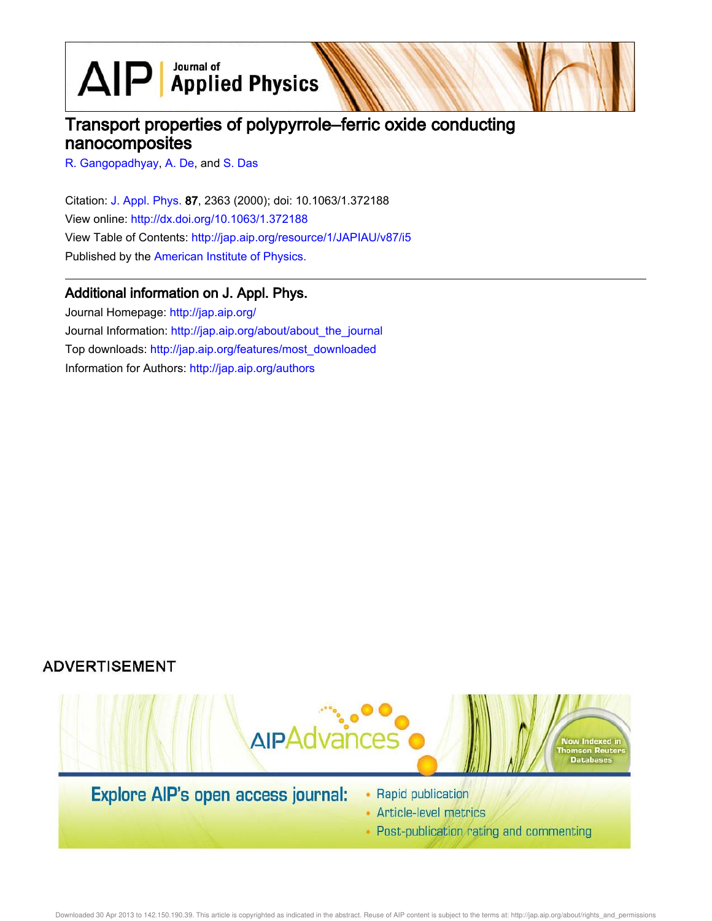$\text{AlP}$  Applied Physics

# Transport properties of polypyrrole–ferric oxide conducting nanocomposites

R. Gangopadhyay, A. De, and S. Das

Citation: J. Appl. Phys. 87, 2363 (2000); doi: 10.1063/1.372188 View online: http://dx.doi.org/10.1063/1.372188 View Table of Contents: http://jap.aip.org/resource/1/JAPIAU/v87/i5 Published by the American Institute of Physics.

# Additional information on J. Appl. Phys.

Journal Homepage: http://jap.aip.org/ Journal Information: http://jap.aip.org/about/about\_the\_journal Top downloads: http://jap.aip.org/features/most\_downloaded Information for Authors: http://jap.aip.org/authors

# **ADVERTISEMENT**



Downloaded 30 Apr 2013 to 142.150.190.39. This article is copyrighted as indicated in the abstract. Reuse of AIP content is subject to the terms at: http://jap.aip.org/about/rights\_and\_permissions

• Post-publication rating and commenting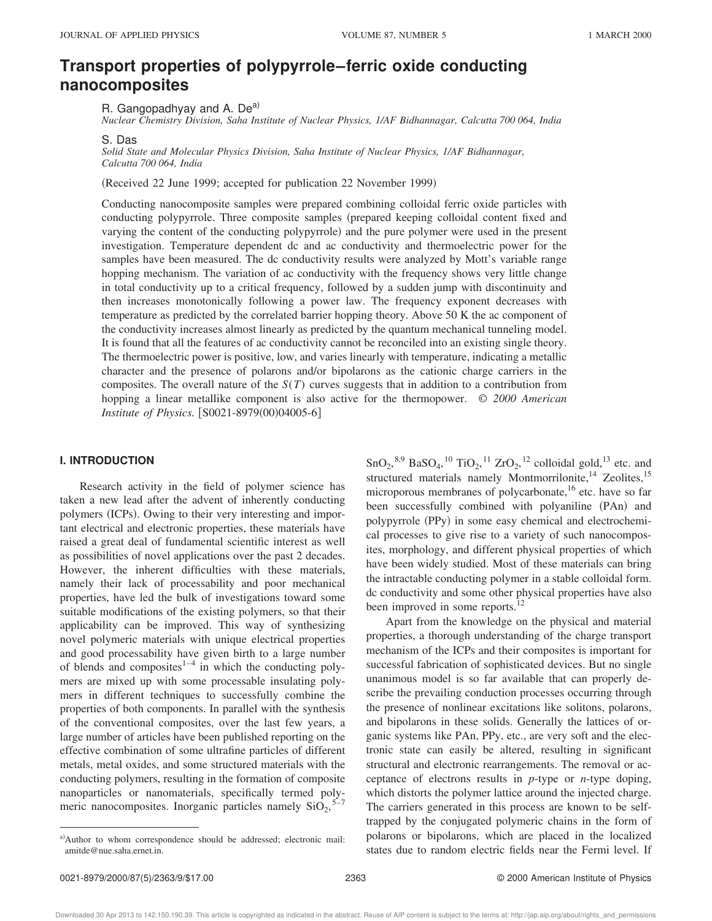# **Transport properties of polypyrrole–ferric oxide conducting nanocomposites**

R. Gangopadhyay and A. De<sup>a)</sup>

*Nuclear Chemistry Division, Saha Institute of Nuclear Physics, 1/AF Bidhannagar, Calcutta 700 064, India*

S. Das

*Solid State and Molecular Physics Division, Saha Institute of Nuclear Physics, 1/AF Bidhannagar, Calcutta 700 064, India*

(Received 22 June 1999; accepted for publication 22 November 1999)

Conducting nanocomposite samples were prepared combining colloidal ferric oxide particles with conducting polypyrrole. Three composite samples (prepared keeping colloidal content fixed and varying the content of the conducting polypyrrole) and the pure polymer were used in the present investigation. Temperature dependent dc and ac conductivity and thermoelectric power for the samples have been measured. The dc conductivity results were analyzed by Mott's variable range hopping mechanism. The variation of ac conductivity with the frequency shows very little change in total conductivity up to a critical frequency, followed by a sudden jump with discontinuity and then increases monotonically following a power law. The frequency exponent decreases with temperature as predicted by the correlated barrier hopping theory. Above 50 K the ac component of the conductivity increases almost linearly as predicted by the quantum mechanical tunneling model. It is found that all the features of ac conductivity cannot be reconciled into an existing single theory. The thermoelectric power is positive, low, and varies linearly with temperature, indicating a metallic character and the presence of polarons and/or bipolarons as the cationic charge carriers in the composites. The overall nature of the *S*(*T*) curves suggests that in addition to a contribution from hopping a linear metallike component is also active for the thermopower. © *2000 American Institute of Physics.* [S0021-8979(00)04005-6]

# **I. INTRODUCTION**

Research activity in the field of polymer science has taken a new lead after the advent of inherently conducting polymers (ICPs). Owing to their very interesting and important electrical and electronic properties, these materials have raised a great deal of fundamental scientific interest as well as possibilities of novel applications over the past 2 decades. However, the inherent difficulties with these materials, namely their lack of processability and poor mechanical properties, have led the bulk of investigations toward some suitable modifications of the existing polymers, so that their applicability can be improved. This way of synthesizing novel polymeric materials with unique electrical properties and good processability have given birth to a large number of blends and composites $1-4$  in which the conducting polymers are mixed up with some processable insulating polymers in different techniques to successfully combine the properties of both components. In parallel with the synthesis of the conventional composites, over the last few years, a large number of articles have been published reporting on the effective combination of some ultrafine particles of different metals, metal oxides, and some structured materials with the conducting polymers, resulting in the formation of composite nanoparticles or nanomaterials, specifically termed polymeric nanocomposites. Inorganic particles namely  $SiO<sub>2</sub>$ ,  $5-7$ 

 $\text{SnO}_2$ ,<sup>8,9</sup> BaSO<sub>4</sub>,<sup>10</sup> TiO<sub>2</sub>,<sup>11</sup> ZrO<sub>2</sub>,<sup>12</sup> colloidal gold,<sup>13</sup> etc. and structured materials namely Montmorrilonite,<sup>14</sup> Zeolites,<sup>15</sup> microporous membranes of polycarbonate,<sup>16</sup> etc. have so far been successfully combined with polyaniline (PAn) and polypyrrole (PPy) in some easy chemical and electrochemical processes to give rise to a variety of such nanocomposites, morphology, and different physical properties of which have been widely studied. Most of these materials can bring the intractable conducting polymer in a stable colloidal form. dc conductivity and some other physical properties have also been improved in some reports.<sup>12</sup>

Apart from the knowledge on the physical and material properties, a thorough understanding of the charge transport mechanism of the ICPs and their composites is important for successful fabrication of sophisticated devices. But no single unanimous model is so far available that can properly describe the prevailing conduction processes occurring through the presence of nonlinear excitations like solitons, polarons, and bipolarons in these solids. Generally the lattices of organic systems like PAn, PPy, etc., are very soft and the electronic state can easily be altered, resulting in significant structural and electronic rearrangements. The removal or acceptance of electrons results in *p*-type or *n*-type doping, which distorts the polymer lattice around the injected charge. The carriers generated in this process are known to be selftrapped by the conjugated polymeric chains in the form of polarons or bipolarons, which are placed in the localized states due to random electric fields near the Fermi level. If

Downloaded 30 Apr 2013 to 142.150.190.39. This article is copyrighted as indicated in the abstract. Reuse of AIP content is subject to the terms at: http://jap.aip.org/about/rights\_and\_permissions

a)Author to whom correspondence should be addressed; electronic mail: amitde@nue.saha.ernet.in.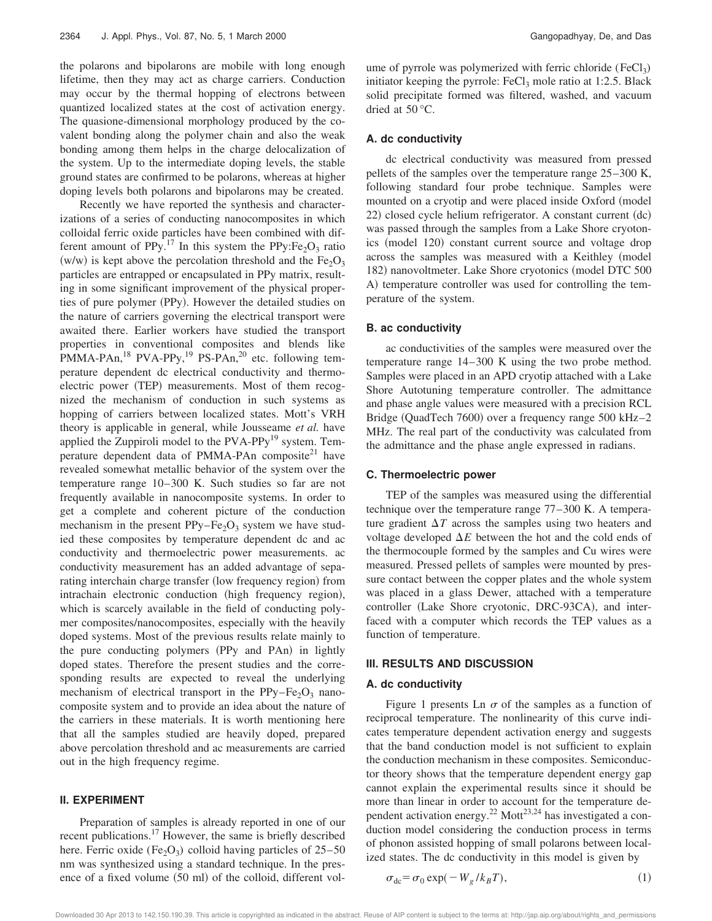the polarons and bipolarons are mobile with long enough lifetime, then they may act as charge carriers. Conduction may occur by the thermal hopping of electrons between quantized localized states at the cost of activation energy. The quasione-dimensional morphology produced by the covalent bonding along the polymer chain and also the weak bonding among them helps in the charge delocalization of the system. Up to the intermediate doping levels, the stable ground states are confirmed to be polarons, whereas at higher doping levels both polarons and bipolarons may be created.

Recently we have reported the synthesis and characterizations of a series of conducting nanocomposites in which colloidal ferric oxide particles have been combined with different amount of PPy.<sup>17</sup> In this system the PPy:Fe<sub>2</sub>O<sub>3</sub> ratio (w/w) is kept above the percolation threshold and the Fe<sub>2</sub>O<sub>3</sub> particles are entrapped or encapsulated in PPy matrix, resulting in some significant improvement of the physical properties of pure polymer (PPy). However the detailed studies on the nature of carriers governing the electrical transport were awaited there. Earlier workers have studied the transport properties in conventional composites and blends like PMMA-PAn,<sup>18</sup> PVA-PPy,<sup>19</sup> PS-PAn,<sup>20</sup> etc. following temperature dependent dc electrical conductivity and thermoelectric power (TEP) measurements. Most of them recognized the mechanism of conduction in such systems as hopping of carriers between localized states. Mott's VRH theory is applicable in general, while Jousseame *et al.* have applied the Zuppiroli model to the PVA-PPy<sup>19</sup> system. Temperature dependent data of PMMA-PAn composite $^{21}$  have revealed somewhat metallic behavior of the system over the temperature range 10–300 K. Such studies so far are not frequently available in nanocomposite systems. In order to get a complete and coherent picture of the conduction mechanism in the present  $PPy-Fe<sub>2</sub>O<sub>3</sub>$  system we have studied these composites by temperature dependent dc and ac conductivity and thermoelectric power measurements. ac conductivity measurement has an added advantage of separating interchain charge transfer (low frequency region) from intrachain electronic conduction (high frequency region), which is scarcely available in the field of conducting polymer composites/nanocomposites, especially with the heavily doped systems. Most of the previous results relate mainly to the pure conducting polymers (PPy and PAn) in lightly doped states. Therefore the present studies and the corresponding results are expected to reveal the underlying mechanism of electrical transport in the  $PPy-Fe<sub>2</sub>O<sub>3</sub>$  nanocomposite system and to provide an idea about the nature of the carriers in these materials. It is worth mentioning here that all the samples studied are heavily doped, prepared above percolation threshold and ac measurements are carried out in the high frequency regime.

#### **II. EXPERIMENT**

Preparation of samples is already reported in one of our recent publications.<sup>17</sup> However, the same is briefly described here. Ferric oxide  $(Fe<sub>2</sub>O<sub>3</sub>)$  colloid having particles of 25–50 nm was synthesized using a standard technique. In the presence of a fixed volume  $(50 \text{ ml})$  of the colloid, different vol-

ume of pyrrole was polymerized with ferric chloride (FeCl<sub>3</sub>) initiator keeping the pyrrole:  $FeCl<sub>3</sub>$  mole ratio at 1:2.5. Black solid precipitate formed was filtered, washed, and vacuum dried at 50 °C.

# **A. dc conductivity**

dc electrical conductivity was measured from pressed pellets of the samples over the temperature range 25–300 K, following standard four probe technique. Samples were mounted on a cryotip and were placed inside Oxford (model  $22$ ) closed cycle helium refrigerator. A constant current  $dc$ ) was passed through the samples from a Lake Shore cryotonics (model 120) constant current source and voltage drop across the samples was measured with a Keithley (model 182) nanovoltmeter. Lake Shore cryotonics (model DTC 500 A) temperature controller was used for controlling the temperature of the system.

#### **B. ac conductivity**

ac conductivities of the samples were measured over the temperature range 14–300 K using the two probe method. Samples were placed in an APD cryotip attached with a Lake Shore Autotuning temperature controller. The admittance and phase angle values were measured with a precision RCL Bridge (QuadTech 7600) over a frequency range  $500 \text{ kHz}-2$ MHz. The real part of the conductivity was calculated from the admittance and the phase angle expressed in radians.

#### **C. Thermoelectric power**

TEP of the samples was measured using the differential technique over the temperature range 77–300 K. A temperature gradient  $\Delta T$  across the samples using two heaters and voltage developed  $\Delta E$  between the hot and the cold ends of the thermocouple formed by the samples and Cu wires were measured. Pressed pellets of samples were mounted by pressure contact between the copper plates and the whole system was placed in a glass Dewer, attached with a temperature controller (Lake Shore cryotonic, DRC-93CA), and interfaced with a computer which records the TEP values as a function of temperature.

### **III. RESULTS AND DISCUSSION**

#### **A. dc conductivity**

Figure 1 presents Ln  $\sigma$  of the samples as a function of reciprocal temperature. The nonlinearity of this curve indicates temperature dependent activation energy and suggests that the band conduction model is not sufficient to explain the conduction mechanism in these composites. Semiconductor theory shows that the temperature dependent energy gap cannot explain the experimental results since it should be more than linear in order to account for the temperature dependent activation energy.<sup>22</sup> Mott<sup>23,24</sup> has investigated a conduction model considering the conduction process in terms of phonon assisted hopping of small polarons between localized states. The dc conductivity in this model is given by

$$
\sigma_{\rm dc} = \sigma_0 \exp(-W_g / k_B T),\tag{1}
$$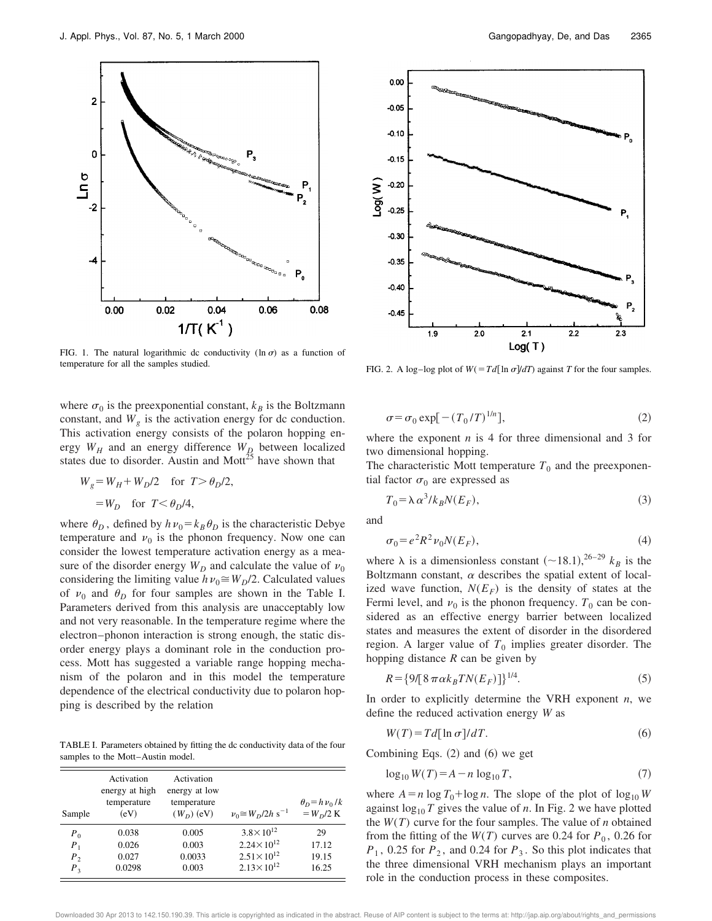

FIG. 1. The natural logarithmic dc conductivity (ln  $\sigma$ ) as a function of temperature for all the samples studied.

where  $\sigma_0$  is the preexponential constant,  $k_B$  is the Boltzmann constant, and  $W_g$  is the activation energy for dc conduction. This activation energy consists of the polaron hopping energy  $W_H$  and an energy difference  $W_D$  between localized states due to disorder. Austin and Mott<sup>25</sup> have shown that

$$
W_g = W_H + W_D/2 \quad \text{for } T > \theta_D/2,
$$
  
=  $W_D$  for  $T < \theta_D/4$ ,

where  $\theta_D$ , defined by  $h\nu_0 = k_B \theta_D$  is the characteristic Debye temperature and  $v_0$  is the phonon frequency. Now one can consider the lowest temperature activation energy as a measure of the disorder energy  $W_D$  and calculate the value of  $v_0$ considering the limiting value  $h\nu_0 \cong W_D/2$ . Calculated values of  $\nu_0$  and  $\theta_D$  for four samples are shown in the Table I. Parameters derived from this analysis are unacceptably low and not very reasonable. In the temperature regime where the electron–phonon interaction is strong enough, the static disorder energy plays a dominant role in the conduction process. Mott has suggested a variable range hopping mechanism of the polaron and in this model the temperature dependence of the electrical conductivity due to polaron hopping is described by the relation

TABLE I. Parameters obtained by fitting the dc conductivity data of the four samples to the Mott–Austin model.

| Sample  | Activation<br>energy at high<br>temperature<br>(eV) | Activation<br>energy at low<br>temperature<br>$(WD)$ (eV) | $v_0 \cong W_D/2h \text{ s}^{-1}$ | $\theta_D = h \nu_0 / k$<br>$=$ $W_D/2$ K |
|---------|-----------------------------------------------------|-----------------------------------------------------------|-----------------------------------|-------------------------------------------|
| $P_0$   | 0.038                                               | 0.005                                                     | $3.8 \times 10^{12}$              | 29                                        |
| $P_1$   | 0.026                                               | 0.003                                                     | $2.24 \times 10^{12}$             | 17.12                                     |
| $P_{2}$ | 0.027                                               | 0.0033                                                    | $2.51 \times 10^{12}$             | 19.15                                     |
| $P_3$   | 0.0298                                              | 0.003                                                     | $2.13 \times 10^{12}$             | 16.25                                     |



FIG. 2. A log–log plot of  $W(TdT)$  against *T* for the four samples.

$$
\sigma = \sigma_0 \exp[-(T_0/T)^{1/n}],\tag{2}
$$

where the exponent *n* is 4 for three dimensional and 3 for two dimensional hopping.

The characteristic Mott temperature  $T_0$  and the preexponential factor  $\sigma_0$  are expressed as

$$
T_0 = \lambda \alpha^3 / k_B N(E_F), \tag{3}
$$

and

$$
\sigma_0 = e^2 R^2 \nu_0 N(E_F),\tag{4}
$$

where  $\lambda$  is a dimensionless constant  $(-18.1)$ , <sup>26–29</sup>  $k_B$  is the Boltzmann constant,  $\alpha$  describes the spatial extent of localized wave function,  $N(E_F)$  is the density of states at the Fermi level, and  $v_0$  is the phonon frequency.  $T_0$  can be considered as an effective energy barrier between localized states and measures the extent of disorder in the disordered region. A larger value of  $T_0$  implies greater disorder. The hopping distance *R* can be given by

$$
R = \{9/[8\pi\alpha k_B T N(E_F)]\}^{1/4}.
$$
 (5)

In order to explicitly determine the VRH exponent *n*, we define the reduced activation energy *W* as

$$
W(T) = Td[\ln \sigma]/dT.
$$
 (6)

Combining Eqs.  $(2)$  and  $(6)$  we get

$$
\log_{10} W(T) = A - n \log_{10} T,\tag{7}
$$

where  $A = n \log T_0 + \log n$ . The slope of the plot of  $\log_{10} W$ against  $\log_{10} T$  gives the value of *n*. In Fig. 2 we have plotted the  $W(T)$  curve for the four samples. The value of *n* obtained from the fitting of the  $W(T)$  curves are 0.24 for  $P_0$ , 0.26 for  $P_1$ , 0.25 for  $P_2$ , and 0.24 for  $P_3$ . So this plot indicates that the three dimensional VRH mechanism plays an important role in the conduction process in these composites.

wnloaded 30 Apr 2013 to 142.150.190.39. This article is copyrighted as indicated in the abstract. Reuse of AIP content is subject to the terms at: http://jap.aip.org/about/rights\_and\_permissions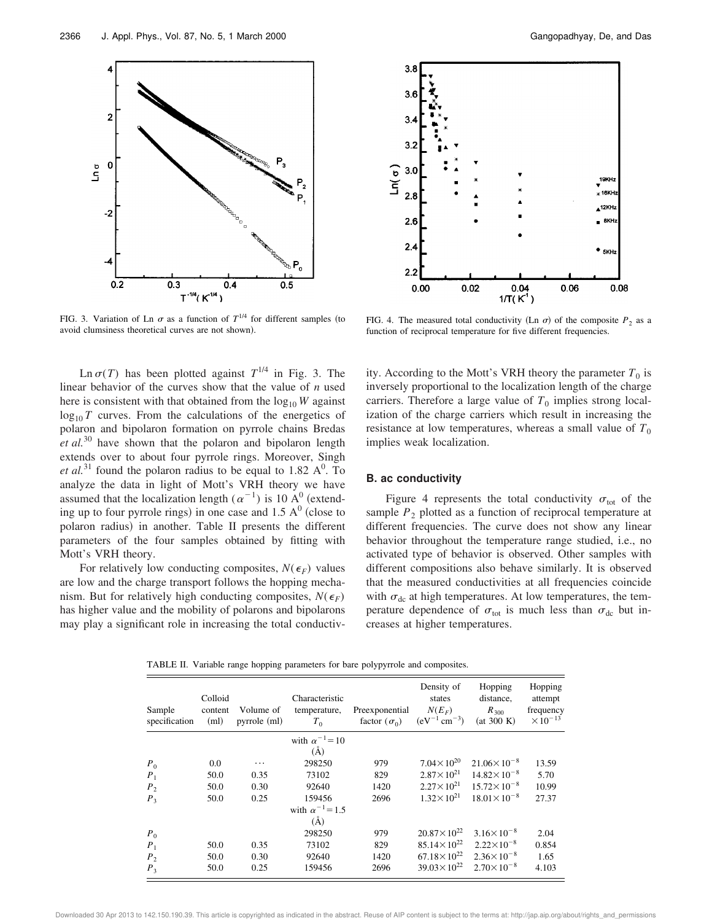

FIG. 3. Variation of Ln  $\sigma$  as a function of  $T^{1/4}$  for different samples (to avoid clumsiness theoretical curves are not shown).

Ln  $\sigma(T)$  has been plotted against  $T^{1/4}$  in Fig. 3. The linear behavior of the curves show that the value of *n* used here is consistent with that obtained from the  $log_{10} W$  against  $log_{10} T$  curves. From the calculations of the energetics of polaron and bipolaron formation on pyrrole chains Bredas *et al.*<sup>30</sup> have shown that the polaron and bipolaron length extends over to about four pyrrole rings. Moreover, Singh *et al.*<sup>31</sup> found the polaron radius to be equal to 1.82  $A^0$ . To analyze the data in light of Mott's VRH theory we have assumed that the localization length  $(\alpha^{-1})$  is 10 A<sup>0</sup> (extending up to four pyrrole rings) in one case and  $1.5 \text{ A}^0$  (close to polaron radius) in another. Table II presents the different parameters of the four samples obtained by fitting with Mott's VRH theory.

For relatively low conducting composites,  $N(\epsilon_F)$  values are low and the charge transport follows the hopping mechanism. But for relatively high conducting composites,  $N(\epsilon_F)$ has higher value and the mobility of polarons and bipolarons may play a significant role in increasing the total conductiv-



FIG. 4. The measured total conductivity (Ln  $\sigma$ ) of the composite  $P_2$  as a function of reciprocal temperature for five different frequencies.

ity. According to the Mott's VRH theory the parameter  $T_0$  is inversely proportional to the localization length of the charge carriers. Therefore a large value of  $T_0$  implies strong localization of the charge carriers which result in increasing the resistance at low temperatures, whereas a small value of  $T_0$ implies weak localization.

#### **B. ac conductivity**

Figure 4 represents the total conductivity  $\sigma_{\text{tot}}$  of the sample  $P_2$  plotted as a function of reciprocal temperature at different frequencies. The curve does not show any linear behavior throughout the temperature range studied, i.e., no activated type of behavior is observed. Other samples with different compositions also behave similarly. It is observed that the measured conductivities at all frequencies coincide with  $\sigma_{dc}$  at high temperatures. At low temperatures, the temperature dependence of  $\sigma_{\text{tot}}$  is much less than  $\sigma_{\text{dc}}$  but increases at higher temperatures.

TABLE II. Variable range hopping parameters for bare polypyrrole and composites.

| Sample<br>specification | Colloid<br>content<br>(ml) | Volume of<br>pyrrole (ml) | Characteristic<br>temperature,<br>$T_0$ | Preexponential<br>factor $(\sigma_0)$ | Density of<br>states<br>$N(E_F)$<br>$(eV^{-1}$ cm <sup>-3</sup> ) | Hopping<br>distance,<br>$R_{300}$<br>(at 300 K) | Hopping<br>attempt<br>frequency<br>$\times 10^{-13}$ |
|-------------------------|----------------------------|---------------------------|-----------------------------------------|---------------------------------------|-------------------------------------------------------------------|-------------------------------------------------|------------------------------------------------------|
|                         |                            |                           | with $\alpha^{-1} = 10$                 |                                       |                                                                   |                                                 |                                                      |
|                         |                            |                           | (A)                                     |                                       |                                                                   |                                                 |                                                      |
| $P_0$                   | 0.0                        | .                         | 298250                                  | 979                                   | $7.04 \times 10^{20}$                                             | $21.06\times10^{-8}$                            | 13.59                                                |
| $P_1$                   | 50.0                       | 0.35                      | 73102                                   | 829                                   | $2.87 \times 10^{21}$                                             | $14.82\times10^{-8}$                            | 5.70                                                 |
| $P_{2}$                 | 50.0                       | 0.30                      | 92640                                   | 1420                                  | $2.27 \times 10^{21}$                                             | $15.72\times10^{-8}$                            | 10.99                                                |
| $P_3$                   | 50.0                       | 0.25                      | 159456                                  | 2696                                  | $1.32 \times 10^{21}$                                             | $18.01 \times 10^{-8}$                          | 27.37                                                |
|                         |                            |                           | with $\alpha^{-1} = 1.5$<br>(A)         |                                       |                                                                   |                                                 |                                                      |
| $P_0$                   |                            |                           | 298250                                  | 979                                   | $20.87 \times 10^{22}$                                            | $3.16\times10^{-8}$                             | 2.04                                                 |
| $P_1$                   | 50.0                       | 0.35                      | 73102                                   | 829                                   | $85.14\times10^{22}$                                              | $2.22\times10^{-8}$                             | 0.854                                                |
| P <sub>2</sub>          | 50.0                       | 0.30                      | 92640                                   | 1420                                  | $67.18 \times 10^{22}$                                            | $2.36 \times 10^{-8}$                           | 1.65                                                 |
| $P_3$                   | 50.0                       | 0.25                      | 159456                                  | 2696                                  | $39.03 \times 10^{22}$                                            | $2.70\times10^{-8}$                             | 4.103                                                |

Downloaded 30 Apr 2013 to 142.150.190.39. This article is copyrighted as indicated in the abstract. Reuse of AIP content is subject to the terms at: http://jap.aip.org/about/rights\_and\_permissions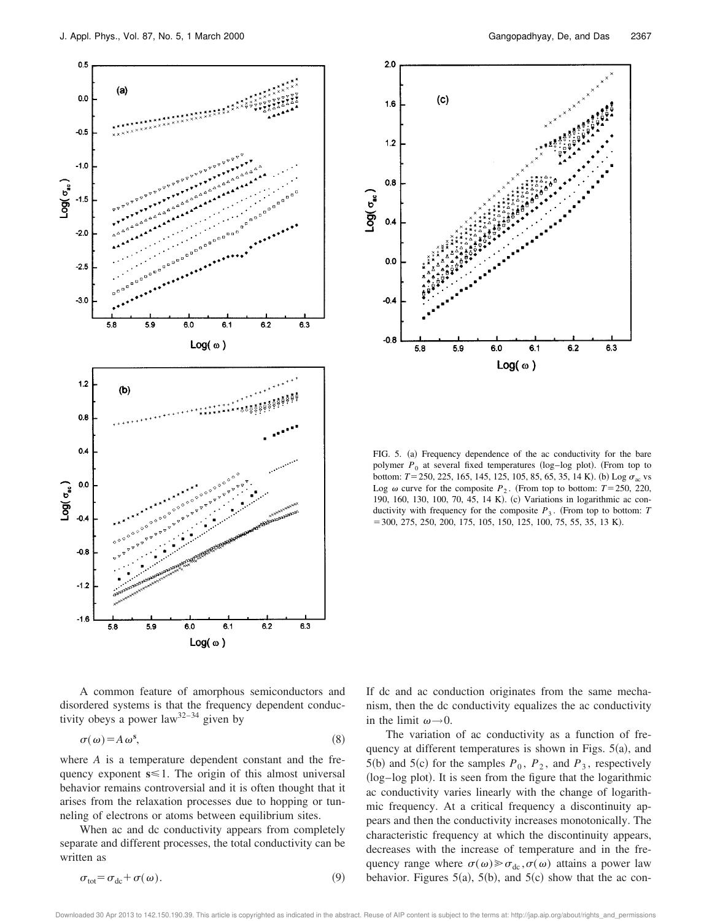



FIG. 5. (a) Frequency dependence of the ac conductivity for the bare polymer  $P_0$  at several fixed temperatures (log–log plot). (From top to bottom:  $T = 250, 225, 165, 145, 125, 105, 85, 65, 35, 14$  K). (b) Log  $\sigma_{ac}$  vs Log  $\omega$  curve for the composite  $P_2$ . (From top to bottom:  $T = 250, 220$ , 190, 160, 130, 100, 70, 45, 14 K). (c) Variations in logarithmic ac conductivity with frequency for the composite  $P_3$ . (From top to bottom: *T*  $=$  300, 275, 250, 200, 175, 105, 150, 125, 100, 75, 55, 35, 13 K).

A common feature of amorphous semiconductors and disordered systems is that the frequency dependent conductivity obeys a power  $law^{32-34}$  given by

$$
\sigma(\omega) = A \omega^s, \tag{8}
$$

where *A* is a temperature dependent constant and the frequency exponent  $s \leq 1$ . The origin of this almost universal behavior remains controversial and it is often thought that it arises from the relaxation processes due to hopping or tunneling of electrons or atoms between equilibrium sites.

When ac and dc conductivity appears from completely separate and different processes, the total conductivity can be written as

$$
\sigma_{\text{tot}} = \sigma_{\text{dc}} + \sigma(\omega). \tag{9}
$$

If dc and ac conduction originates from the same mechanism, then the dc conductivity equalizes the ac conductivity in the limit  $\omega \rightarrow 0$ .

The variation of ac conductivity as a function of frequency at different temperatures is shown in Figs.  $5(a)$ , and 5(b) and 5(c) for the samples  $P_0$ ,  $P_2$ , and  $P_3$ , respectively (log–log plot). It is seen from the figure that the logarithmic ac conductivity varies linearly with the change of logarithmic frequency. At a critical frequency a discontinuity appears and then the conductivity increases monotonically. The characteristic frequency at which the discontinuity appears, decreases with the increase of temperature and in the frequency range where  $\sigma(\omega) \gg \sigma_{dc}$ ,  $\sigma(\omega)$  attains a power law behavior. Figures  $5(a)$ ,  $5(b)$ , and  $5(c)$  show that the ac con-

Downloaded 30 Apr 2013 to 142.150.190.39. This article is copyrighted as indicated in the abstract. Reuse of AIP content is subject to the terms at: http://jap.aip.org/about/rights\_and\_permissions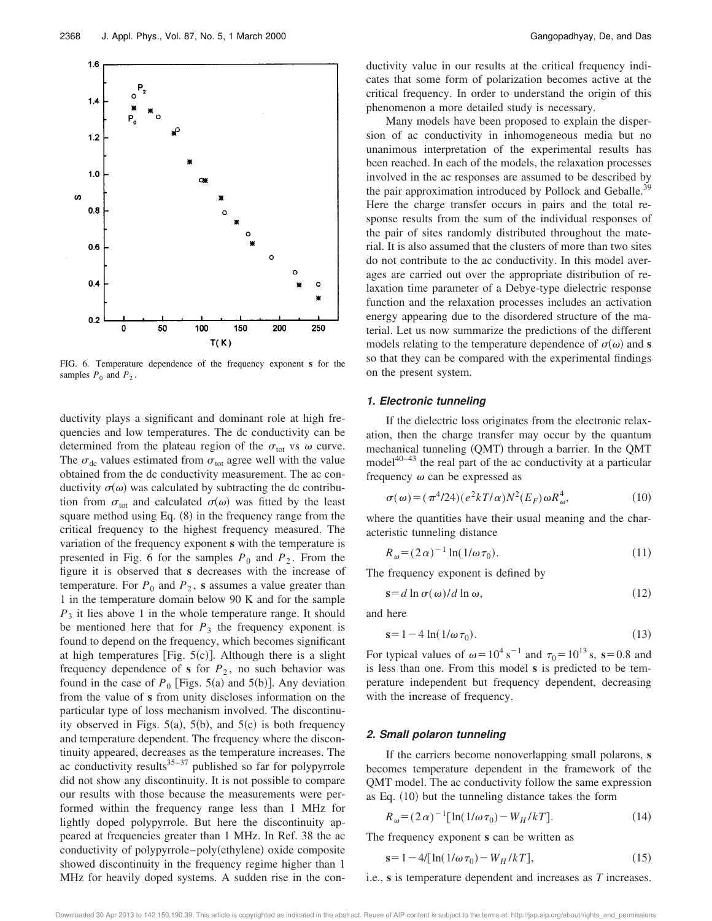

FIG. 6. Temperature dependence of the frequency exponent **s** for the samples  $P_0$  and  $P_2$ .

ductivity plays a significant and dominant role at high frequencies and low temperatures. The dc conductivity can be determined from the plateau region of the  $\sigma_{\text{tot}}$  vs  $\omega$  curve. The  $\sigma_{dc}$  values estimated from  $\sigma_{tot}$  agree well with the value obtained from the dc conductivity measurement. The ac conductivity  $\sigma(\omega)$  was calculated by subtracting the dc contribution from  $\sigma_{\text{tot}}$  and calculated  $\sigma(\omega)$  was fitted by the least square method using Eq.  $(8)$  in the frequency range from the critical frequency to the highest frequency measured. The variation of the frequency exponent **s** with the temperature is presented in Fig. 6 for the samples  $P_0$  and  $P_2$ . From the figure it is observed that **s** decreases with the increase of temperature. For  $P_0$  and  $P_2$ , **s** assumes a value greater than 1 in the temperature domain below 90 K and for the sample *P*3 it lies above 1 in the whole temperature range. It should be mentioned here that for  $P_3$  the frequency exponent is found to depend on the frequency, which becomes significant at high temperatures [Fig.  $5(c)$ ]. Although there is a slight frequency dependence of  $s$  for  $P_2$ , no such behavior was found in the case of  $P_0$  [Figs. 5(a) and 5(b)]. Any deviation from the value of **s** from unity discloses information on the particular type of loss mechanism involved. The discontinuity observed in Figs.  $5(a)$ ,  $5(b)$ , and  $5(c)$  is both frequency and temperature dependent. The frequency where the discontinuity appeared, decreases as the temperature increases. The ac conductivity results $35-37$  published so far for polypyrrole did not show any discontinuity. It is not possible to compare our results with those because the measurements were performed within the frequency range less than 1 MHz for lightly doped polypyrrole. But here the discontinuity appeared at frequencies greater than 1 MHz. In Ref. 38 the ac conductivity of polypyrrole–poly(ethylene) oxide composite showed discontinuity in the frequency regime higher than 1 MHz for heavily doped systems. A sudden rise in the conductivity value in our results at the critical frequency indicates that some form of polarization becomes active at the critical frequency. In order to understand the origin of this phenomenon a more detailed study is necessary.

Many models have been proposed to explain the dispersion of ac conductivity in inhomogeneous media but no unanimous interpretation of the experimental results has been reached. In each of the models, the relaxation processes involved in the ac responses are assumed to be described by the pair approximation introduced by Pollock and Geballe.<sup>39</sup> Here the charge transfer occurs in pairs and the total response results from the sum of the individual responses of the pair of sites randomly distributed throughout the material. It is also assumed that the clusters of more than two sites do not contribute to the ac conductivity. In this model averages are carried out over the appropriate distribution of relaxation time parameter of a Debye-type dielectric response function and the relaxation processes includes an activation energy appearing due to the disordered structure of the material. Let us now summarize the predictions of the different models relating to the temperature dependence of  $\sigma(\omega)$  and **s** so that they can be compared with the experimental findings on the present system.

### **1. Electronic tunneling**

If the dielectric loss originates from the electronic relaxation, then the charge transfer may occur by the quantum mechanical tunneling (QMT) through a barrier. In the QMT model $40-43$  the real part of the ac conductivity at a particular frequency  $\omega$  can be expressed as

$$
\sigma(\omega) = (\pi^4/24)(e^2kT/\alpha)N^2(E_F)\omega R_\omega^4,
$$
\n(10)

where the quantities have their usual meaning and the characteristic tunneling distance

$$
R_{\omega} = (2\alpha)^{-1} \ln(1/\omega \tau_0). \tag{11}
$$

The frequency exponent is defined by

$$
\mathbf{s} = d \ln \sigma(\omega) / d \ln \omega,\tag{12}
$$

and here

$$
\mathbf{s} = 1 - 4 \ln(1/\omega \tau_0). \tag{13}
$$

For typical values of  $\omega = 10^4$  s<sup>-1</sup> and  $\tau_0 = 10^{13}$  s, s=0.8 and is less than one. From this model **s** is predicted to be temperature independent but frequency dependent, decreasing with the increase of frequency.

### **2. Small polaron tunneling**

If the carriers become nonoverlapping small polarons, **s** becomes temperature dependent in the framework of the QMT model. The ac conductivity follow the same expression as Eq.  $(10)$  but the tunneling distance takes the form

$$
R_{\omega} = (2\alpha)^{-1} [\ln(1/\omega \tau_0) - W_H / kT]. \tag{14}
$$

The frequency exponent **s** can be written as

$$
s = 1 - 4/[ln(1/\omega \tau_0) - W_H/kT],
$$
\n(15)

i.e., **s** is temperature dependent and increases as *T* increases.

Downloaded 30 Apr 2013 to 142.150.190.39. This article is copyrighted as indicated in the abstract. Reuse of AIP content is subject to the terms at: http://jap.aip.org/about/rights\_and\_permissions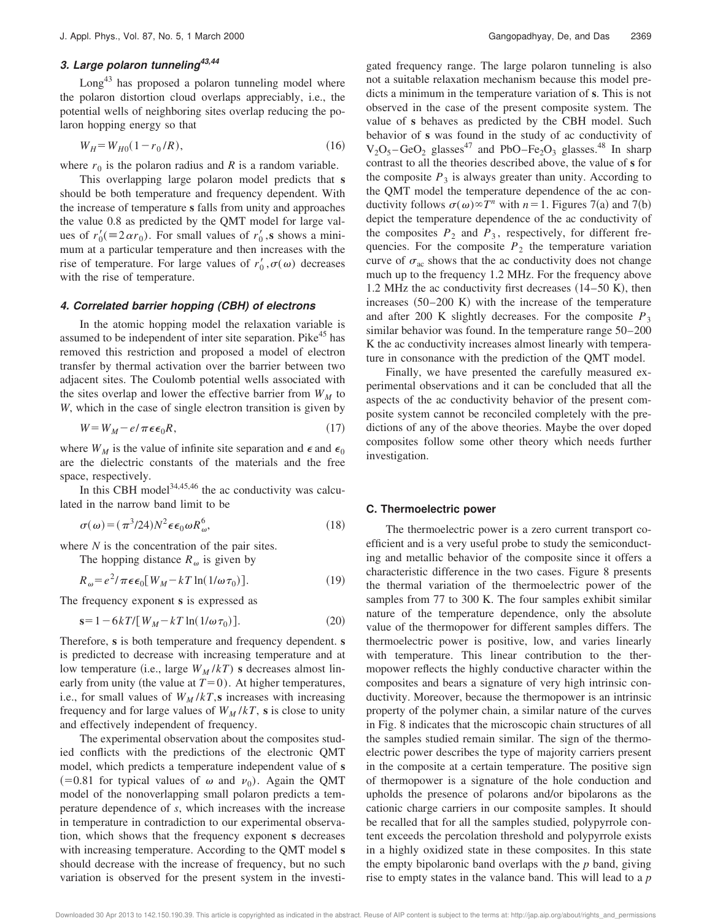# **3. Large polaron tunneling 43,44**

Long<sup>43</sup> has proposed a polaron tunneling model where the polaron distortion cloud overlaps appreciably, i.e., the potential wells of neighboring sites overlap reducing the polaron hopping energy so that

$$
W_H = W_{H0}(1 - r_0/R), \tag{16}
$$

where  $r_0$  is the polaron radius and  $R$  is a random variable.

This overlapping large polaron model predicts that **s** should be both temperature and frequency dependent. With the increase of temperature **s** falls from unity and approaches the value 0.8 as predicted by the QMT model for large values of  $r'_0 \equiv 2\alpha r_0$ ). For small values of  $r'_0$ , **s** shows a minimum at a particular temperature and then increases with the rise of temperature. For large values of  $r'_0, \sigma(\omega)$  decreases with the rise of temperature.

#### **4. Correlated barrier hopping (CBH) of electrons**

In the atomic hopping model the relaxation variable is assumed to be independent of inter site separation. Pike<sup>45</sup> has removed this restriction and proposed a model of electron transfer by thermal activation over the barrier between two adjacent sites. The Coulomb potential wells associated with the sites overlap and lower the effective barrier from  $W_M$  to *W*, which in the case of single electron transition is given by

$$
W = W_M - e/\pi \epsilon \epsilon_0 R, \qquad (17)
$$

where  $W_M$  is the value of infinite site separation and  $\epsilon$  and  $\epsilon_0$ are the dielectric constants of the materials and the free space, respectively.

In this CBH model<sup>34,45,46</sup> the ac conductivity was calculated in the narrow band limit to be

$$
\sigma(\omega) = (\pi^3/24)N^2 \epsilon \epsilon_0 \omega R_\omega^6, \tag{18}
$$

where *N* is the concentration of the pair sites.

The hopping distance  $R_{\omega}$  is given by

$$
R_{\omega} = e^2 / \pi \epsilon \epsilon_0 [W_M - kT \ln(1/\omega \tau_0)]. \tag{19}
$$

The frequency exponent **s** is expressed as

$$
\mathbf{s} = 1 - 6kT / \left[ W_M - kT \ln(1/\omega \tau_0) \right]. \tag{20}
$$

Therefore, **s** is both temperature and frequency dependent. **s** is predicted to decrease with increasing temperature and at low temperature (i.e., large  $W_M/kT$ ) **s** decreases almost linearly from unity (the value at  $T=0$ ). At higher temperatures, i.e., for small values of  $W_M/kT$ , s increases with increasing frequency and for large values of  $W_M/kT$ , s is close to unity and effectively independent of frequency.

The experimental observation about the composites studied conflicts with the predictions of the electronic QMT model, which predicts a temperature independent value of **s**  $(=0.81$  for typical values of  $\omega$  and  $\nu_0$ ). Again the QMT model of the nonoverlapping small polaron predicts a temperature dependence of *s*, which increases with the increase in temperature in contradiction to our experimental observation, which shows that the frequency exponent **s** decreases with increasing temperature. According to the QMT model **s** should decrease with the increase of frequency, but no such variation is observed for the present system in the investigated frequency range. The large polaron tunneling is also not a suitable relaxation mechanism because this model predicts a minimum in the temperature variation of **s**. This is not observed in the case of the present composite system. The value of **s** behaves as predicted by the CBH model. Such behavior of **s** was found in the study of ac conductivity of  $V_2O_5 - GeO_2$  glasses<sup>47</sup> and PbO–Fe<sub>2</sub>O<sub>3</sub> glasses.<sup>48</sup> In sharp contrast to all the theories described above, the value of **s** for the composite  $P_3$  is always greater than unity. According to the QMT model the temperature dependence of the ac conductivity follows  $\sigma(\omega) \propto T^n$  with  $n=1$ . Figures 7(a) and 7(b) depict the temperature dependence of the ac conductivity of the composites  $P_2$  and  $P_3$ , respectively, for different frequencies. For the composite  $P_2$  the temperature variation curve of  $\sigma_{ac}$  shows that the ac conductivity does not change much up to the frequency 1.2 MHz. For the frequency above 1.2 MHz the ac conductivity first decreases  $(14–50 \text{ K})$ , then increases  $(50-200 \text{ K})$  with the increase of the temperature and after 200 K slightly decreases. For the composite  $P_3$ similar behavior was found. In the temperature range 50–200 K the ac conductivity increases almost linearly with temperature in consonance with the prediction of the QMT model.

Finally, we have presented the carefully measured experimental observations and it can be concluded that all the aspects of the ac conductivity behavior of the present composite system cannot be reconciled completely with the predictions of any of the above theories. Maybe the over doped composites follow some other theory which needs further investigation.

#### **C. Thermoelectric power**

The thermoelectric power is a zero current transport coefficient and is a very useful probe to study the semiconducting and metallic behavior of the composite since it offers a characteristic difference in the two cases. Figure 8 presents the thermal variation of the thermoelectric power of the samples from 77 to 300 K. The four samples exhibit similar nature of the temperature dependence, only the absolute value of the thermopower for different samples differs. The thermoelectric power is positive, low, and varies linearly with temperature. This linear contribution to the thermopower reflects the highly conductive character within the composites and bears a signature of very high intrinsic conductivity. Moreover, because the thermopower is an intrinsic property of the polymer chain, a similar nature of the curves in Fig. 8 indicates that the microscopic chain structures of all the samples studied remain similar. The sign of the thermoelectric power describes the type of majority carriers present in the composite at a certain temperature. The positive sign of thermopower is a signature of the hole conduction and upholds the presence of polarons and/or bipolarons as the cationic charge carriers in our composite samples. It should be recalled that for all the samples studied, polypyrrole content exceeds the percolation threshold and polypyrrole exists in a highly oxidized state in these composites. In this state the empty bipolaronic band overlaps with the *p* band, giving rise to empty states in the valance band. This will lead to a *p*

Downloaded 30 Apr 2013 to 142.150.190.39. This article is copyrighted as indicated in the abstract. Reuse of AIP content is subject to the terms at: http://jap.aip.org/about/rights\_and\_permissions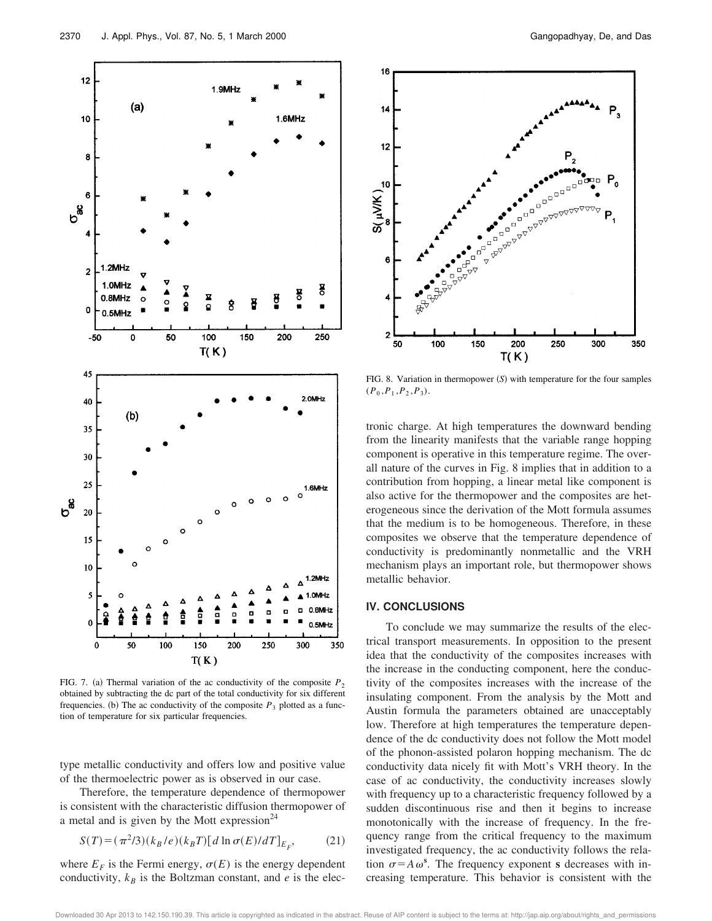

FIG. 7. (a) Thermal variation of the ac conductivity of the composite  $P_2$ obtained by subtracting the dc part of the total conductivity for six different frequencies. (b) The ac conductivity of the composite  $P_3$  plotted as a function of temperature for six particular frequencies.

type metallic conductivity and offers low and positive value of the thermoelectric power as is observed in our case.

Therefore, the temperature dependence of thermopower is consistent with the characteristic diffusion thermopower of a metal and is given by the Mott expression $^{24}$ 

$$
S(T) = (\pi^2/3)(k_B/e)(k_B T)[d\ln\sigma(E)/dT]_{E_F},\tag{21}
$$

where  $E_F$  is the Fermi energy,  $\sigma(E)$  is the energy dependent conductivity,  $k_B$  is the Boltzman constant, and  $e$  is the elec-



FIG. 8. Variation in thermopower  $(S)$  with temperature for the four samples  $(P_0, P_1, P_2, P_3).$ 

tronic charge. At high temperatures the downward bending from the linearity manifests that the variable range hopping component is operative in this temperature regime. The overall nature of the curves in Fig. 8 implies that in addition to a contribution from hopping, a linear metal like component is also active for the thermopower and the composites are heterogeneous since the derivation of the Mott formula assumes that the medium is to be homogeneous. Therefore, in these composites we observe that the temperature dependence of conductivity is predominantly nonmetallic and the VRH mechanism plays an important role, but thermopower shows metallic behavior.

## **IV. CONCLUSIONS**

To conclude we may summarize the results of the electrical transport measurements. In opposition to the present idea that the conductivity of the composites increases with the increase in the conducting component, here the conductivity of the composites increases with the increase of the insulating component. From the analysis by the Mott and Austin formula the parameters obtained are unacceptably low. Therefore at high temperatures the temperature dependence of the dc conductivity does not follow the Mott model of the phonon-assisted polaron hopping mechanism. The dc conductivity data nicely fit with Mott's VRH theory. In the case of ac conductivity, the conductivity increases slowly with frequency up to a characteristic frequency followed by a sudden discontinuous rise and then it begins to increase monotonically with the increase of frequency. In the frequency range from the critical frequency to the maximum investigated frequency, the ac conductivity follows the relation  $\sigma = A \omega^s$ . The frequency exponent **s** decreases with increasing temperature. This behavior is consistent with the